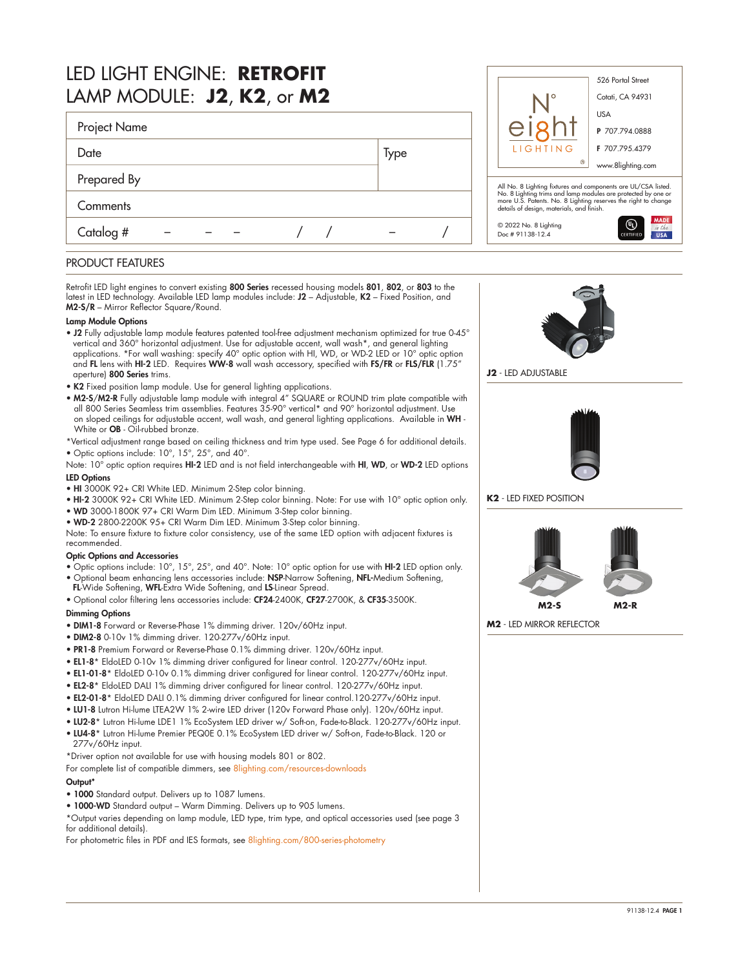| LED LIGHT ENGINE: RETROFIT<br>LAMP MODULE: J2, K2, or M2 |      |                                                                                                                                                                              | 526 Portal Street<br>Cotati, CA 94931 |
|----------------------------------------------------------|------|------------------------------------------------------------------------------------------------------------------------------------------------------------------------------|---------------------------------------|
| Project Name                                             |      |                                                                                                                                                                              | <b>USA</b><br>P 707.794.0888          |
| Date                                                     | Type | LIGHTING<br>$^\circledR$                                                                                                                                                     | F 707.795.4379                        |
| Prepared By                                              |      | All No. 8 Lighting fixtures and components are UL/CSA listed.                                                                                                                | www.8lighting.com                     |
| Comments                                                 |      | No. 8 Lighting trims and lamp modules are protected by one or<br>more U.S. Patents. No. 8 Lighting reserves the right to change<br>details of design, materials, and finish. |                                       |
| Catalog #                                                |      | © 2022 No. 8 Lighting<br>Doc # 91138-12.4                                                                                                                                    | <b>MADE</b><br>∞<br><b>USA</b>        |

# PRODUCT FEATURES

Retrofit LED light engines to convert existing 800 Series recessed housing models 801, 802, or 803 to the latest in LED technology. Available LED lamp modules include: J2 - Adjustable, K2 - Fixed Position, and M2-S/R – Mirror Reflector Square/Round.

#### Lamp Module Options

- J2 Fully adjustable lamp module features patented tool-free adjustment mechanism optimized for true 0-45° vertical and 360° horizontal adjustment. Use for adjustable accent, wall wash\*, and general lighting applications. \*For wall washing: specify 40° optic option with HI, WD, or WD-2 LED or 10° optic option and FL lens with HI-2 LED. Requires WW-8 wall wash accessory, specified with FS/FR or FLS/FLR (1.75" aperture) 800 Series trims.
- K2 Fixed position lamp module. Use for general lighting applications.
- M2-S/M2-R Fully adjustable lamp module with integral 4" SQUARE or ROUND trim plate compatible with all 800 Series Seamless trim assemblies. Features 35-90° vertical\* and 90° horizontal adjustment. Use on sloped ceilings for adjustable accent, wall wash, and general lighting applications. Available in WH - White or **OB** - Oil-rubbed bronze.
- \*Vertical adjustment range based on ceiling thickness and trim type used. See Page 6 for additional details. • Optic options include: 10°, 15°, 25°, and 40°.

Note: 10° optic option requires HI-2 LED and is not field interchangeable with HI, WD, or WD-2 LED options LED Options

- HI 3000K 92+ CRI White LED. Minimum 2-Step color binning.
- HI-2 3000K 92+ CRI White LED. Minimum 2-Step color binning. Note: For use with 10° optic option only.
- WD 3000-1800K 97+ CRI Warm Dim LED. Minimum 3-Step color binning.
- WD-2 2800-2200K 95+ CRI Warm Dim LED. Minimum 3-Step color binning.

Note: To ensure fixture to fixture color consistency, use of the same LED option with adjacent fixtures is recommended.

#### Optic Options and Accessories

- Optic options include: 10°, 15°, 25°, and 40°. Note: 10° optic option for use with HI-2 LED option only.
- Optional beam enhancing lens accessories include: NSP-Narrow Softening, NFL-Medium Softening, FL-Wide Softening, WFL-Extra Wide Softening, and LS-Linear Spread.
- 
- Optional color filtering lens accessories include: CF24-2400K, CF27-2700K, & CF35-3500K.

### Dimming Options

- DIM1-8 Forward or Reverse-Phase 1% dimming driver. 120v/60Hz input.
- DIM2-8 0-10v 1% dimming driver. 120-277v/60Hz input.
- PR1-8 Premium Forward or Reverse-Phase 0.1% dimming driver. 120v/60Hz input.
- EL1-8\* EldoLED 0-10v 1% dimming driver configured for linear control. 120-277v/60Hz input.
- EL1-01-8\* EldoLED 0-10v 0.1% dimming driver configured for linear control. 120-277v/60Hz input.
- EL2-8\* EldoLED DALI 1% dimming driver configured for linear control. 120-277v/60Hz input.
- EL2-01-8\* EldoLED DALI 0.1% dimming driver configured for linear control.120-277v/60Hz input.
- LU1-8 Lutron Hi-lume LTEA2W 1% 2-wire LED driver (120v Forward Phase only). 120v/60Hz input.
- LU2-8\* Lutron Hi-lume LDE1 1% EcoSystem LED driver w/ Soft-on, Fade-to-Black. 120-277v/60Hz input.
- LU4-8\* Lutron Hi-lume Premier PEQ0E 0.1% EcoSystem LED driver w/ Soft-on, Fade-to-Black. 120 or 277v/60Hz input.
- \*Driver option not available for use with housing models 801 or 802.

For complete list of compatible dimmers, see [8lighting.com/resources-downloads](https://8lighting.com/resources-downloads/) Output\*

- 1000 Standard output. Delivers up to 1087 lumens.
- 1000-WD Standard output Warm Dimming. Delivers up to 905 lumens.
- \*Output varies depending on lamp module, LED type, trim type, and optical accessories used (see page 3 for additional details).

For photometric files in PDF and IES formats, see [8lighting.com/800-series-photometry](http://8lighting.com/800-series-photometry/)



**J2** - LED ADJUSTABLE



**K2** - LED FIXED POSITION



**M2** - LED MIRROR REFLECTOR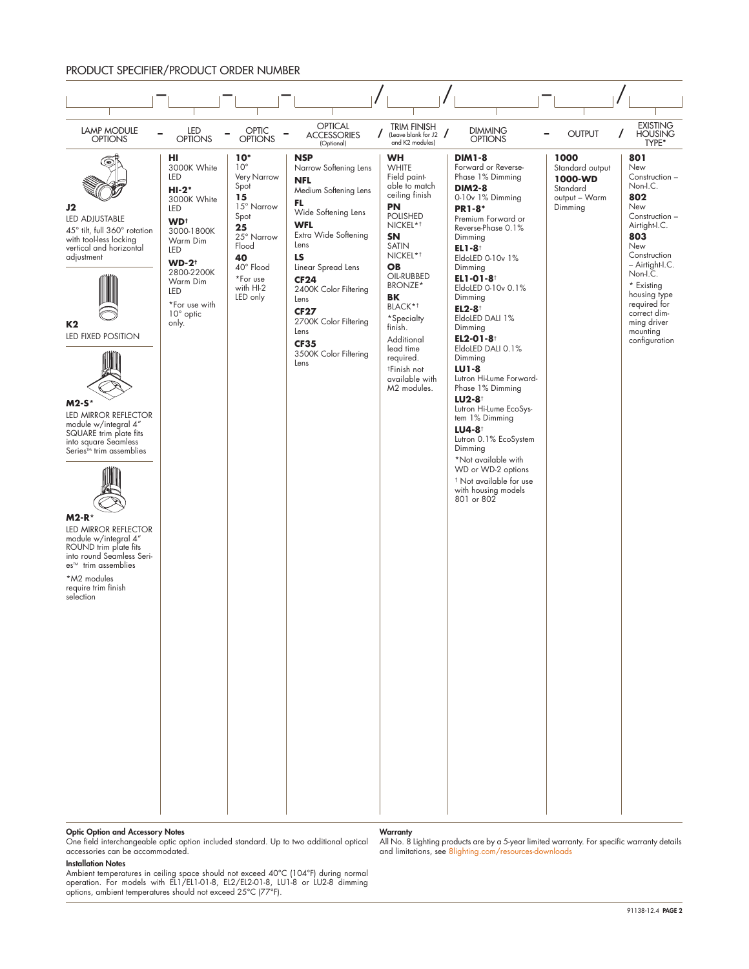#### PRODUCT SPECIFIER/PRODUCT ORDER NUMBER



#### Optic Option and Accessory Notes

One field interchangeable optic option included standard. Up to two additional optical accessories can be accommodated.

#### Installation Notes

Ambient temperatures in ceiling space should not exceed 40°C (104°F) during normal operation. For models with EL1/EL1-01-8, EL2/EL2-01-8, LU1-8 or LU2-8 dimming options, ambient temperatures should not exceed 25°C (77°F).

#### **Warranty**

All No. 8 Lighting products are by a 5-year limited warranty. For specific warranty details and limitations, see [8lighting.com/resources-downloads](https://8lighting.com/resources-downloads/)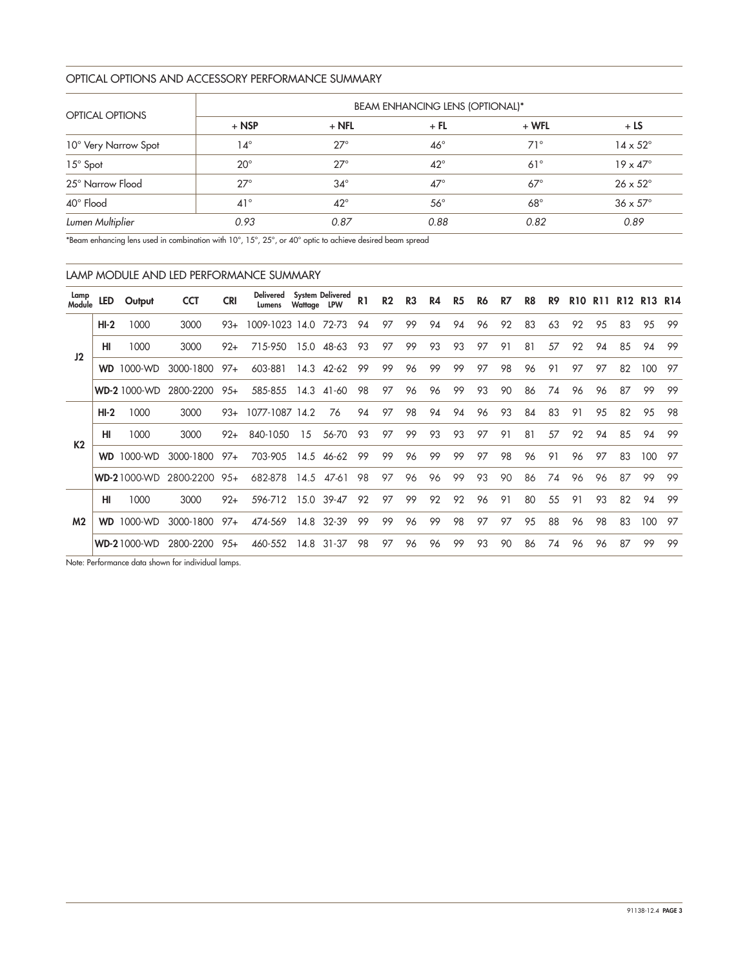# OPTICAL OPTIONS AND ACCESSORY PERFORMANCE SUMMARY

|                        | <b>BEAM ENHANCING LENS (OPTIONAL)*</b> |              |              |            |                        |  |  |  |  |  |  |  |
|------------------------|----------------------------------------|--------------|--------------|------------|------------------------|--|--|--|--|--|--|--|
| <b>OPTICAL OPTIONS</b> | $+$ NSP                                | $+$ NFL      | $+$ FL       | $+ WFL$    | $+LS$                  |  |  |  |  |  |  |  |
| 10° Very Narrow Spot   | $14^{\circ}$                           | $27^\circ$   | $46^{\circ}$ | $71^\circ$ | $14 \times 52^{\circ}$ |  |  |  |  |  |  |  |
| 15° Spot               | $20^{\circ}$                           | $27^\circ$   | $42^{\circ}$ | $61^\circ$ | $19 \times 47^\circ$   |  |  |  |  |  |  |  |
| 25° Narrow Flood       | $27^\circ$                             | $34^\circ$   | $47^\circ$   | $67^\circ$ | $26 \times 52^{\circ}$ |  |  |  |  |  |  |  |
| 40° Flood              | $41^{\circ}$                           | $42^{\circ}$ | $56^{\circ}$ | $68^\circ$ | $36 \times 57^\circ$   |  |  |  |  |  |  |  |
| Lumen Multiplier       | 0.93                                   | 0.87         | 0.88         | 0.82       | 0.89                   |  |  |  |  |  |  |  |

\*Beam enhancing lens used in combination with 10°, 15°, 25°, or 40° optic to achieve desired beam spread

| LAMP MODULE AND LED PERFORMANCE SUMMARY |
|-----------------------------------------|
|                                         |

| Lamp<br>Module | LED       | Output              | <b>CCT</b> | <b>CRI</b> | <b>Delivered</b><br>Lumens | Wattage LPW | <b>System Delivered</b> | R <sub>1</sub> | R <sub>2</sub> | R <sub>3</sub> | R4 | R5 | R6 | R7 | R8 | R9 | <b>R10</b> | R11 |    | R <sub>12</sub> R <sub>13</sub> R <sub>14</sub> |     |
|----------------|-----------|---------------------|------------|------------|----------------------------|-------------|-------------------------|----------------|----------------|----------------|----|----|----|----|----|----|------------|-----|----|-------------------------------------------------|-----|
|                | $HI-2$    | 1000                | 3000       | $93+$      | 1009-1023 14.0             |             | 72-73                   | 94             | 97             | 99             | 94 | 94 | 96 | 92 | 83 | 63 | 92         | 95  | 83 | 95                                              | 99  |
| 12             | HI        | 1000                | 3000       | $92+$      | 715-950                    | 15.0        | 48-63                   | 93             | 97             | 99             | 93 | 93 | 97 | 91 | 81 | 57 | 92         | 94  | 85 | 94                                              | 99  |
|                |           | <b>WD</b> 1000-WD   | 3000-1800  | $97+$      | 603-881                    | 14.3        | 42-62                   | 99             | 99             | 96             | 99 | 99 | 97 | 98 | 96 | 91 | 97         | 97  | 82 | 100                                             | 97  |
|                |           | <b>WD-2 1000-WD</b> | 2800-2200  | $95+$      | 585-855                    | 14.3        | 41-60                   | 98             | 97             | 96             | 96 | 99 | 93 | 90 | 86 | 74 | 96         | 96  | 87 | 99                                              | 99  |
|                | $HI-2$    | 1000                | 3000       | $93+$      | 1077-1087 14.2             |             | 76                      | 94             | 97             | 98             | 94 | 94 | 96 | 93 | 84 | 83 | 91         | 9.5 | 82 | 95                                              | 98  |
| K <sub>2</sub> | HI        | 1000                | 3000       | $92+$      | 840-1050                   | 15          | 56-70                   | 93             | 97             | 99             | 93 | 93 | 97 | 91 | 81 | 57 | 92         | 94  | 85 | 94                                              | -99 |
|                |           | <b>WD</b> 1000-WD   | 3000-1800  | $97+$      | 703-905                    | 14.5        | 46-62                   | 99             | 99             | 96             | 99 | 99 | 97 | 98 | 96 | 91 | 96         | 97  | 83 | 100                                             | 97  |
|                |           | <b>WD-21000-WD</b>  | 2800-2200  | $95+$      | 682-878                    | 14.5        | 47-61                   | 98             | 97             | 96             | 96 | 99 | 93 | 90 | 86 | 74 | 96         | 96  | 87 | 99                                              | 99  |
|                | HI        | 1000                | 3000       | $92+$      | 596-712                    | 15.0        | $39 - 47$               | 92             | 97             | 99             | 92 | 92 | 96 | 91 | 80 | 55 | 91         | 93  | 82 | 94                                              | 99  |
| M <sub>2</sub> | <b>WD</b> | 1000-WD             | 3000-1800  | $97+$      | 474-569                    | 14.8        | 32-39                   | 99             | 99             | 96             | 99 | 98 | 97 | 97 | 95 | 88 | 96         | 98  | 83 | 100                                             | 97  |
|                |           | <b>WD-21000-WD</b>  | 2800-2200  | $95+$      | 460-552                    | 14.8        | $31 - 37$               | 98             | 97             | 96             | 96 | 99 | 93 | 90 | 86 | 74 | 96         | 96  | 87 | 99                                              | 99  |

Note: Performance data shown for individual lamps.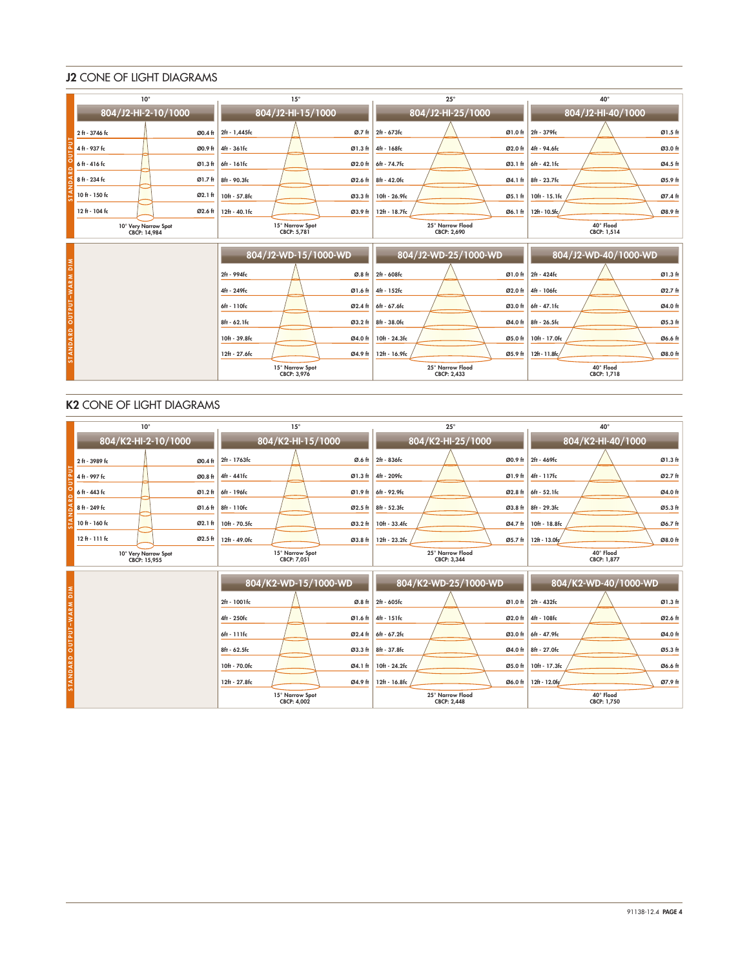# J2 CONE OF LIGHT DIAGRAMS

|                          | $10^{\circ}$                         |         | $15^{\circ}$                   |         |               | $25^{\circ}$                    |         | $40^{\circ}$             |         |  |  |
|--------------------------|--------------------------------------|---------|--------------------------------|---------|---------------|---------------------------------|---------|--------------------------|---------|--|--|
|                          | 804/J2-HI-2-10/1000                  |         | 804/J2-HI-15/1000              |         |               | 804/J2-HI-25/1000               |         | 804/J2-HI-40/1000        |         |  |  |
|                          | 2 ft - 3746 fc                       | Ø0.4 ft | 2ft - 1,445fc                  | Ø.7 ft  | 2ft - 673fc   |                                 | Ø1.0 ft | 2ft - 379fc              | Ø1.5 ft |  |  |
|                          | 4 ft - 937 fc                        | Ø0.9 ft | 4ft - 361fc                    | Ø1.3 ft | 4ft - 168fc   |                                 | Ø2.0 ft | 4ft - 94.6fc             | Ø3.0 ft |  |  |
|                          | $6h - 416h$                          | Ø1.3 ft | 6ft - 161fc                    | Ø2.0 ft | 6ft - 74.7fc  |                                 | Ø3.1 ft | 6ft - 42.1fc             | Ø4.5 ft |  |  |
|                          | 8 ft - 234 fc                        | Ø1.7 ft | 8ft - 90.3fc                   | Ø2.6 ft | 8ft - 42.0fc  |                                 | Ø4.1 ft | 8ft - 23.7fc             | Ø5.9 ft |  |  |
|                          | 10 ft - 150 fc                       | Ø2.1 ft | 10ft - 57.8fc                  | Ø3.3 ft | 10ft - 26.9fc |                                 | Ø5.1 ft | 10ft - 15.1fc            | Ø7.4 ft |  |  |
|                          | 12 ft - 104 fc                       | Ø2.6 ft | 12ft - 40.1fc                  | Ø3.9 ft | 12ft - 18.7fc |                                 | Ø6.1 ft | 12ft - 10.5fc/           | Ø8.9 ft |  |  |
|                          | 10° Very Narrow Spot<br>CBCP: 14,984 |         | 15° Narrow Spot<br>CBCP: 5.781 |         |               | 25° Narrow Flood<br>CBCP: 2.690 |         | 40° Flood<br>CBCP: 1.514 |         |  |  |
|                          |                                      |         | 804/J2-WD-15/1000-WD           |         |               | 804/J2-WD-25/1000-WD            |         | 804/J2-WD-40/1000-WD     |         |  |  |
| STANDARD OUTPUT-WARM DIM |                                      |         | 2ft - 994fc                    | Ø.8 ft  | 2ft - 608fc   |                                 | Ø1.0 ft | 2ft - 424fc              | Ø1.3 ft |  |  |
|                          |                                      |         | 4ft - 249fc                    | Ø1.6 ft | 4ft - 152fc   |                                 | Ø2.0 ft | 4ft - 106fc              | Ø2.7 ft |  |  |
|                          |                                      |         | 6ft - 110fc                    | Ø2.4 ft | 6ft - 67.6fc  |                                 | Ø3.0 ft | 6ft - 47.1fc             | Ø4.0 ft |  |  |
|                          |                                      |         | $8ft - 62.1fc$                 | Ø3.2 ft | 8ft - 38.0fc  |                                 | Ø4.0 ft | 8ft - 26.5fc             | Ø5.3 ft |  |  |
|                          |                                      |         | 10ft - 39.8fc                  | Ø4.0 ft | 10ft - 24.3fc |                                 | Ø5.0 ft | 10ft - 17.0fc            | Ø6.6 ft |  |  |
|                          |                                      |         | 12ft - 27.6fc                  | Ø4.9 ft | 12ft - 16.9fc |                                 | Ø5.9 ft | 12ft - 11.8fc/           | Ø8.0 ft |  |  |
|                          |                                      |         | 15° Narrow Spot<br>CBCP: 3,976 |         |               | 25° Narrow Flood<br>CBCP: 2,433 |         | 40° Flood<br>CBCP: 1,718 |         |  |  |

# K2 CONE OF LIGHT DIAGRAMS

|                          | $10^{\circ}$                         |         | $15^{\circ}$                   |               |               | $25^{\circ}$                    |                          | 40°                      |                      |         |  |
|--------------------------|--------------------------------------|---------|--------------------------------|---------------|---------------|---------------------------------|--------------------------|--------------------------|----------------------|---------|--|
|                          | 804/K2-HI-2-10/1000                  |         | 804/K2-HI-15/1000              |               |               | 804/K2-HI-25/1000               |                          | 804/K2-HI-40/1000        |                      |         |  |
|                          | 2 ft - 3989 fc                       | Ø0.4 ft | 2ft - 1763fc                   | Ø.6 ft        | 2ft - 836fc   |                                 |                          | Ø0.9 ft 2ft - 469fc      |                      | Ø1.3 ft |  |
|                          | 4 ft - 997 fc                        | Ø0.8 ft | 4ft - 441fc                    | Ø1.3 ft       | 4ft - 209fc   |                                 |                          | Ø1.9 ft 4ft - 117fc      |                      | Ø2.7 ft |  |
|                          | 6 ft - 443 fc                        | Ø1.2 ft | 6ft - 196fc                    | Ø1.9 ft       | 6ft - 92.9fc  |                                 |                          | Ø2.8 ft 6ft - 52.1fc     |                      | Ø4.0 ft |  |
|                          | 8 ft - 249 fc                        | Ø1.6 ft | 8ft - 110fc                    | Ø2.5 ft       | 8ft - 52.3fc  |                                 |                          | Ø3.8 ft 8ft - 29.3fc     |                      | Ø5.3 ft |  |
|                          | 10 ft - 160 fc                       | Ø2.1 ft | 10ft - 70.5fc                  | Ø3.2 ft       | 10ft - 33.4fc |                                 | Ø4.7 ft                  | 10ft - 18.8fc            |                      | Ø6.7 ft |  |
|                          | $12f + 111f$ c                       | Ø2.5 ft | 12ft - 49.0fc                  | Ø3.8 ft       | 12ft - 23.2fc |                                 | Ø5.7 ft                  | $12f + 13.0fq'$          |                      | Ø8.0 ft |  |
|                          | 10° Very Narrow Spot<br>CBCP: 15.955 |         | 15° Narrow Spot<br>CBCP: 7.051 |               |               | 25° Narrow Flood<br>CBCP: 3.344 |                          | 40° Flood<br>CBCP: 1.877 |                      |         |  |
|                          |                                      |         | 804/K2-WD-15/1000-WD           |               |               | 804/K2-WD-25/1000-WD            |                          |                          | 804/K2-WD-40/1000-WD |         |  |
| STANDARD OUTPUT-WARM DIM |                                      |         | 2ft - 1001fc                   | Ø.8 ft        | 2ft - 605fc   |                                 | Ø1.0 <sub>ft</sub>       | 2ft - 432fc              |                      | Ø1.3 ft |  |
|                          |                                      |         | 4ft - 250fc                    | Ø1.6 ft       | 4ft - 151fc   |                                 | $\varnothing$ 2.0 ft     | 4ft - 108fc              |                      | Ø2.6 ft |  |
|                          |                                      |         | 6ft - 111fc                    | Ø2.4 ft       | 6ft - 67.2fc  |                                 | $\varnothing$ 3.0 ft     | 6ft - 47.9fc             |                      | Ø4.0 ft |  |
|                          |                                      |         | $8ft - 62.5fc$                 | Ø3.3 ft       | 8ft - 37.8fc  |                                 | Ø4.0 ft                  | 8ft - 27.0fc             |                      | Ø5.3 ft |  |
|                          |                                      |         | 10ft - 70.0fc                  | Ø4.1 ft       | 10ft - 24.2fc |                                 | Ø5.0 ft                  | 10ft - 17.3fc            |                      | Ø6.6 ft |  |
|                          |                                      |         | 12ft - 27.8fc                  | 12ft - 16.8fc |               | Ø6.0 ft                         | 12ft - 12.0fc<br>Ø7.9 ft |                          |                      |         |  |
|                          |                                      |         | 15° Narrow Spot<br>CBCP: 4,002 |               |               | 25° Narrow Flood<br>CBCP: 2,448 |                          | 40° Flood<br>CBCP: 1,750 |                      |         |  |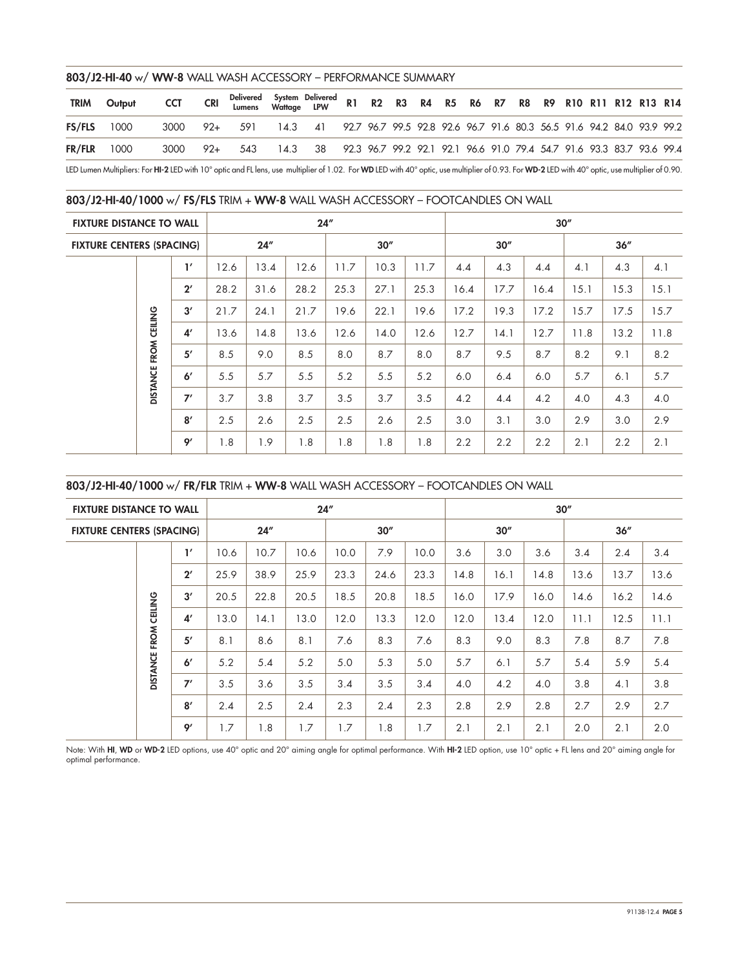#### 803/J2-HI-40 w/ WW-8 WALL WASH ACCESSORY – PERFORMANCE SUMMARY

| <b>TRIM</b>   | Output | CCT | <b>CRI</b> | Delivered System Delivered  R1  R2  R3  R4  R5  R6  R7  R8  R9  R10 R11 R12 R13 R14<br>Lumens  Wattage  LPW  R1  R2  R3  R4  R5  R6  R7  R8  R9  R10 R11 R12 R13 R14 |  |  |  |  |  |  |  |  |
|---------------|--------|-----|------------|----------------------------------------------------------------------------------------------------------------------------------------------------------------------|--|--|--|--|--|--|--|--|
| <b>FS/FLS</b> | 1000   |     |            | 3000 92+ 591 14.3 41 92.7 96.7 99.5 92.8 92.6 96.7 91.6 80.3 56.5 91.6 94.2 84.0 93.9 99.2                                                                           |  |  |  |  |  |  |  |  |
| <b>FR/FLR</b> | 1000   |     |            | 3000 92+ 543 14.3 38 92.3 96.7 99.2 92.1 92.1 96.6 91.0 79.4 54.7 91.6 93.3 83.7 93.6 99.4                                                                           |  |  |  |  |  |  |  |  |
|               |        |     |            |                                                                                                                                                                      |  |  |  |  |  |  |  |  |

LED Lumen Multipliers: For HI-2 LED with 10° optic and FL lens, use multiplier of 1.02. For WD LED with 40° optic, use multiplier of 0.93. For WD-2 LED with 40° optic, use multiplier of 0.90.

# 803/J2-HI-40/1000 w/ FS/FLS TRIM + WW-8 WALL WASH ACCESSORY – FOOTCANDLES ON WALL

| <b>FIXTURE DISTANCE TO WALL</b>  |                 |                |      |      | 24'' |      |      |      | 30'' |      |      |      |      |      |  |  |
|----------------------------------|-----------------|----------------|------|------|------|------|------|------|------|------|------|------|------|------|--|--|
| <b>FIXTURE CENTERS (SPACING)</b> |                 |                |      | 24'' |      | 30'' |      |      |      | 30'' |      | 36'' |      |      |  |  |
|                                  |                 | $\mathbf{I}'$  | 12.6 | 13.4 | 12.6 | 11.7 | 10.3 | 11.7 | 4.4  | 4.3  | 4.4  | 4.1  | 4.3  | 4.1  |  |  |
|                                  |                 | $2^{\prime}$   | 28.2 | 31.6 | 28.2 | 25.3 | 27.1 | 25.3 | 16.4 | 17.7 | 16.4 | 15.1 | 15.3 | 15.1 |  |  |
|                                  |                 | 3'             | 21.7 | 24.1 | 21.7 | 19.6 | 22.1 | 19.6 | 17.2 | 19.3 | 17.2 | 15.7 | 17.5 | 15.7 |  |  |
|                                  | FROM CEILING    | 4 <sup>′</sup> | 13.6 | 14.8 | 13.6 | 12.6 | 14.0 | 12.6 | 12.7 | 14.1 | 12.7 | 11.8 | 13.2 | 11.8 |  |  |
|                                  |                 | 5'             | 8.5  | 9.0  | 8.5  | 8.0  | 8.7  | 8.0  | 8.7  | 9.5  | 8.7  | 8.2  | 9.1  | 8.2  |  |  |
|                                  | <b>DISTANCE</b> | 6'             | 5.5  | 5.7  | 5.5  | 5.2  | 5.5  | 5.2  | 6.0  | 6.4  | 6.0  | 5.7  | 6.1  | 5.7  |  |  |
|                                  |                 | 7'             | 3.7  | 3.8  | 3.7  | 3.5  | 3.7  | 3.5  | 4.2  | 4.4  | 4.2  | 4.0  | 4.3  | 4.0  |  |  |
|                                  |                 | 8'             | 2.5  | 2.6  | 2.5  | 2.5  | 2.6  | 2.5  | 3.0  | 3.1  | 3.0  | 2.9  | 3.0  | 2.9  |  |  |
|                                  |                 | 9'             | 1.8  | 1.9  | 1.8  | 1.8  | 1.8  | 1.8  | 2.2  | 2.2  | 2.2  | 2.1  | 2.2  | 2.1  |  |  |

# 803/J2-HI-40/1000 w/ FR/FLR TRIM + WW-8 WALL WASH ACCESSORY – FOOTCANDLES ON WALL

| <b>FIXTURE DISTANCE TO WALL</b>  |                 |               |      |      | 24'' |      |      |      | 30'' |      |      |      |      |      |  |
|----------------------------------|-----------------|---------------|------|------|------|------|------|------|------|------|------|------|------|------|--|
| <b>FIXTURE CENTERS (SPACING)</b> |                 |               |      | 24'' |      |      | 30'' |      |      | 30'' |      | 36'' |      |      |  |
|                                  |                 | $\mathbf{I}'$ | 10.6 | 10.7 | 10.6 | 10.0 | 7.9  | 10.0 | 3.6  | 3.0  | 3.6  | 3.4  | 2.4  | 3.4  |  |
|                                  |                 | $2^{\prime}$  | 25.9 | 38.9 | 25.9 | 23.3 | 24.6 | 23.3 | 14.8 | 16.1 | 14.8 | 13.6 | 13.7 | 13.6 |  |
|                                  |                 | 3'<br>CEILING | 20.5 | 22.8 | 20.5 | 18.5 | 20.8 | 18.5 | 16.0 | 17.9 | 16.0 | 14.6 | 16.2 | 14.6 |  |
|                                  |                 | 4'            | 13.0 | 14.1 | 13.0 | 12.0 | 13.3 | 12.0 | 12.0 | 13.4 | 12.0 | 11.1 | 12.5 | 11.1 |  |
|                                  | FROM            | 5'            | 8.1  | 8.6  | 8.1  | 7.6  | 8.3  | 7.6  | 8.3  | 9.0  | 8.3  | 7.8  | 8.7  | 7.8  |  |
|                                  | <b>DISTANCE</b> | 6'            | 5.2  | 5.4  | 5.2  | 5.0  | 5.3  | 5.0  | 5.7  | 6.1  | 5.7  | 5.4  | 5.9  | 5.4  |  |
|                                  | 7'              | 3.5           | 3.6  | 3.5  | 3.4  | 3.5  | 3.4  | 4.0  | 4.2  | 4.0  | 3.8  | 4.1  | 3.8  |      |  |
|                                  |                 | 8'            | 2.4  | 2.5  | 2.4  | 2.3  | 2.4  | 2.3  | 2.8  | 2.9  | 2.8  | 2.7  | 2.9  | 2.7  |  |
|                                  |                 | 9'            | 1.7  | 1.8  | 1.7  | 1.7  | 1.8  | 1.7  | 2.1  | 2.1  | 2.1  | 2.0  | 2.1  | 2.0  |  |

Note: With HI, WD or WD-2 LED options, use 40° optic and 20° aiming angle for optimal performance. With HI-2 LED option, use 10° optic + FL lens and 20° aiming angle for optimal performance.